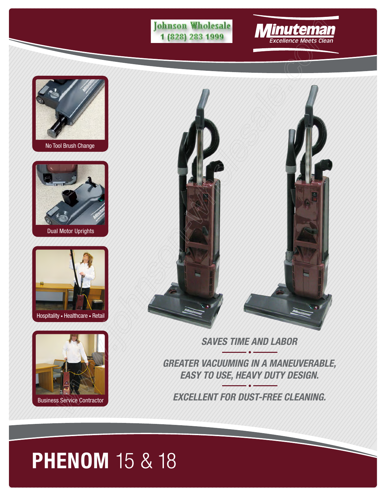





No Tool Brush Change



Dual Motor Uprights



Hospitality • Healthcare • Retail



Business Service Contractor



**SAVES TIME AND LABOR**

**GREATER VACUUMING IN A MANEUVERABLE, EASY TO USE, HEAVY DUTY DESIGN.**

**EXCELLENT FOR DUST-FREE CLEANING.**